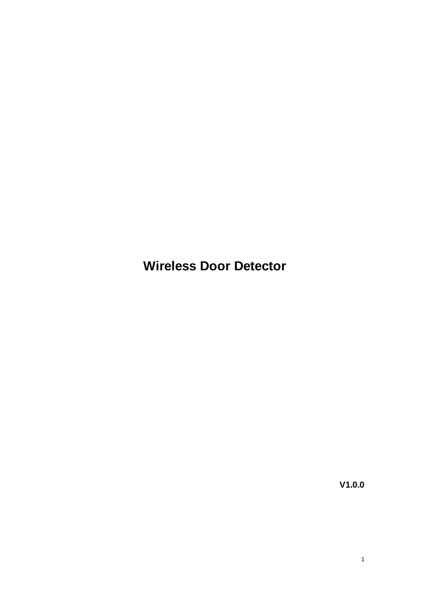**Wireless Door Detector**

**V1.0.0**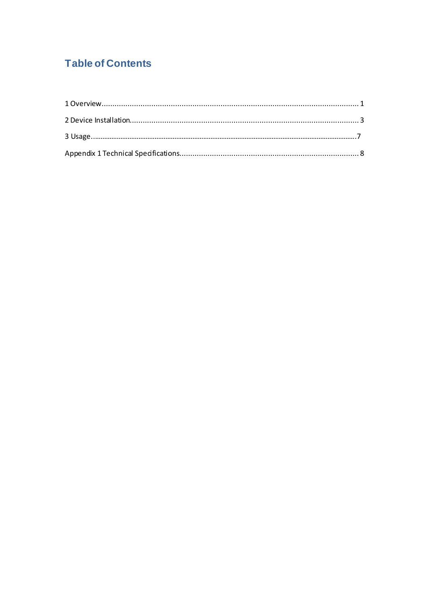## **Table of Contents**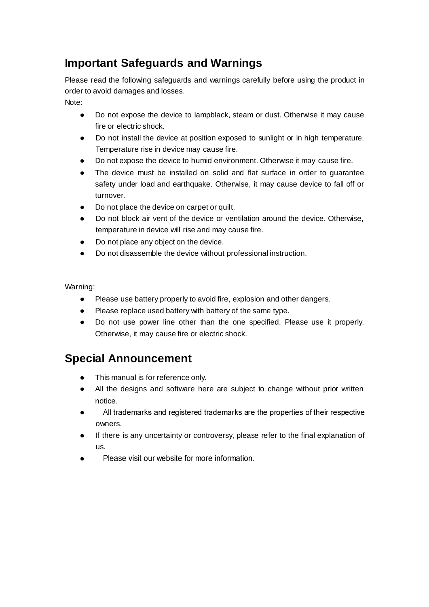# **Important Safeguards and Warnings**

Please read the following safeguards and warnings carefully before using the product in order to avoid damages and losses.

Note:

- Do not expose the device to lampblack, steam or dust. Otherwise it may cause fire or electric shock.
- Do not install the device at position exposed to sunlight or in high temperature. Temperature rise in device may cause fire.
- Do not expose the device to humid environment. Otherwise it may cause fire.
- The device must be installed on solid and flat surface in order to guarantee safety under load and earthquake. Otherwise, it may cause device to fall off or turnover.
- Do not place the device on carpet or quilt.
- Do not block air vent of the device or ventilation around the device. Otherwise, temperature in device will rise and may cause fire.
- Do not place any object on the device.
- Do not disassemble the device without professional instruction.

Warning:

- Please use battery properly to avoid fire, explosion and other dangers.
- Please replace used battery with battery of the same type.
- Do not use power line other than the one specified. Please use it properly. Otherwise, it may cause fire or electric shock.

# **Special Announcement**

- This manual is for reference only.
- All the designs and software here are subject to change without prior written notice.
- All trademarks and registered trademarks are the properties of their respective  $\bullet$ owners.
- If there is any uncertainty or controversy, please refer to the final explanation of us.
- Please visit our website for more information  $\bullet$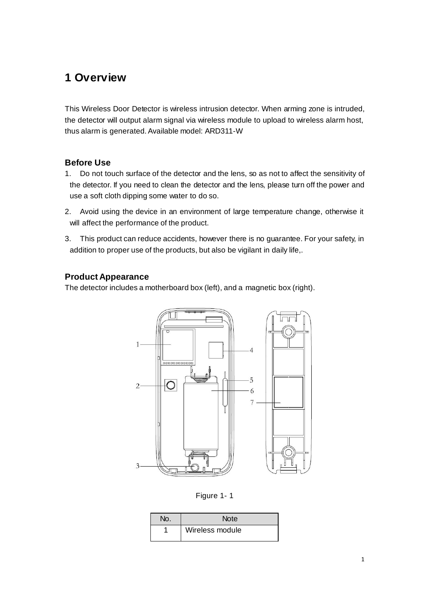## <span id="page-3-0"></span>**1 Overview**

This Wireless Door Detector is wireless intrusion detector. When arming zone is intruded, the detector will output alarm signal via wireless module to upload to wireless alarm host, thus alarm is generated. Available model: ARD311-W

## **Before Use**

- 1. Do not touch surface of the detector and the lens, so as not to affect the sensitivity of the detector. If you need to clean the detector and the lens, please turn off the power and use a soft cloth dipping some water to do so.
- 2. Avoid using the device in an environment of large temperature change, otherwise it will affect the performance of the product.
- 3. This product can reduce accidents, however there is no guarantee. For your safety, in addition to proper use of the products, but also be vigilant in daily life,.

## **Product Appearance**

The detector includes a motherboard box (left), and a magnetic box (right).



Figure 1- 1

| No. | <b>Note</b>     |
|-----|-----------------|
|     | Wireless module |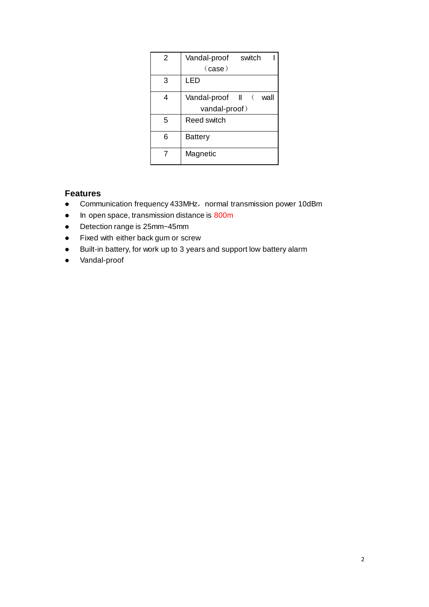| 2 | Vandal-proof<br>switch |
|---|------------------------|
|   | $(\text{case})$        |
| 3 | LED                    |
| 4 | Vandal-proof II ( wall |
|   | vandal-proof)          |
| 5 | Reed switch            |
| 6 | <b>Battery</b>         |
|   | Magnetic               |

## **Features**

- Communication frequency 433MHz, normal transmission power 10dBm
- In open space, transmission distance is 800m
- Detection range is 25mm~45mm
- Fixed with either back gum or screw
- Built-in battery, for work up to 3 years and support low battery alarm
- Vandal-proof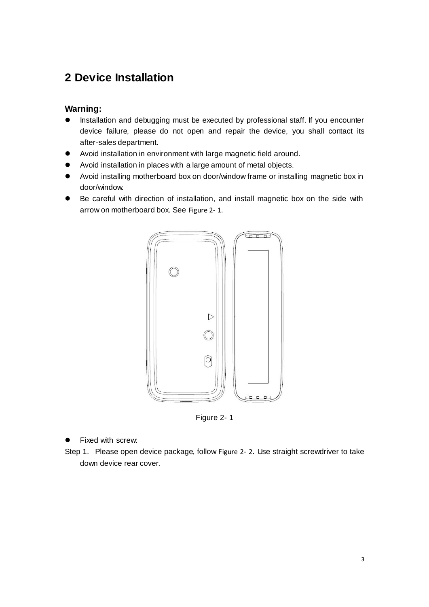## <span id="page-5-0"></span>**2 Device Installation**

## **Warning:**

- Installation and debugging must be executed by professional staff. If you encounter device failure, please do not open and repair the device, you shall contact its after-sales department.
- Avoid installation in environment with large magnetic field around.
- Avoid installation in places with a large amount of metal objects.
- Avoid installing motherboard box on door/window frame or installing magnetic box in door/window.
- Be careful with direction of installation, and install magnetic box on the side with arrow on motherboard box. See [Figure 2-](#page-5-1) 1.



Figure 2- 1

#### <span id="page-5-1"></span>Fixed with screw:

Step 1. Please open device package, follow [Figure 2-](#page-6-0) 2. Use straight screwdriver to take down device rear cover.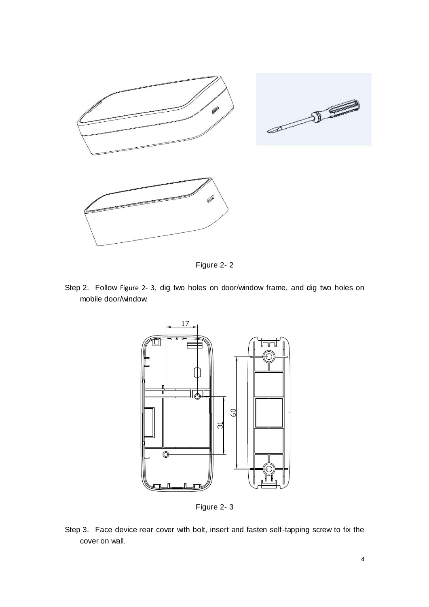

Figure 2- 2

<span id="page-6-0"></span>Step 2. Follow [Figure 2-](#page-6-1) 3, dig two holes on door/window frame, and dig two holes on mobile door/window.



Figure 2- 3

<span id="page-6-1"></span>Step 3. Face device rear cover with bolt, insert and fasten self-tapping screw to fix the cover on wall.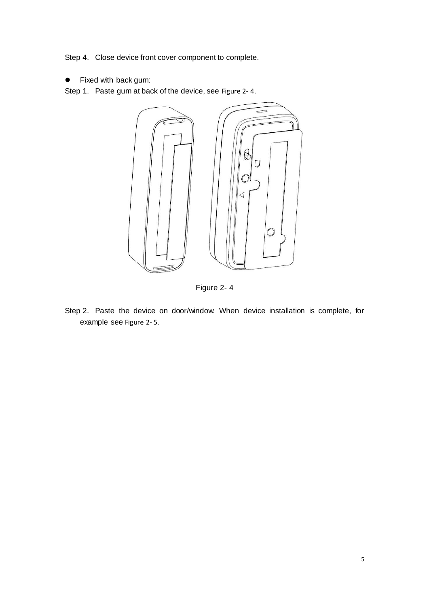Step 4. Close device front cover component to complete.

Fixed with back gum:

Step 1. Paste gum at back of the device, see [Figure 2-](#page-7-0) 4.



Figure 2- 4

<span id="page-7-0"></span>Step 2. Paste the device on door/window. When device installation is complete, for example see [Figure 2-](#page-8-0) 5.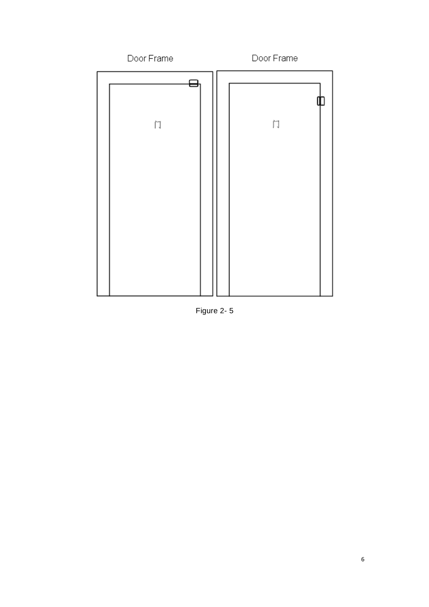

<span id="page-8-0"></span>Figure 2-5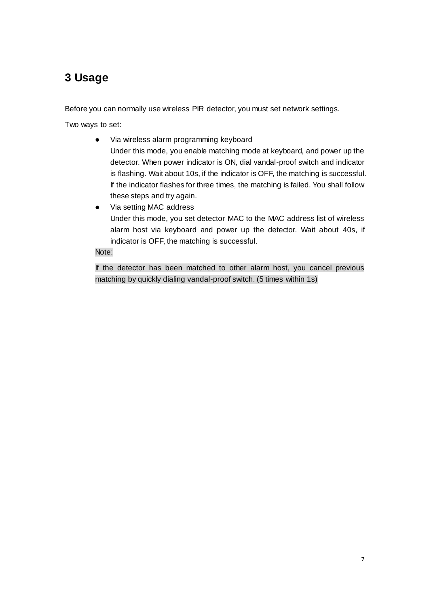# <span id="page-9-0"></span>**3 Usage**

Before you can normally use wireless PIR detector, you must set network settings.

Two ways to set:

- Via wireless alarm programming keyboard Under this mode, you enable matching mode at keyboard, and power up the detector. When power indicator is ON, dial vandal-proof switch and indicator is flashing. Wait about 10s, if the indicator is OFF, the matching is successful. If the indicator flashes for three times, the matching is failed. You shall follow these steps and try again.
- Via setting MAC address Under this mode, you set detector MAC to the MAC address list of wireless alarm host via keyboard and power up the detector. Wait about 40s, if indicator is OFF, the matching is successful.

#### Note:

If the detector has been matched to other alarm host, you cancel previous matching by quickly dialing vandal-proof switch. (5 times within 1s)